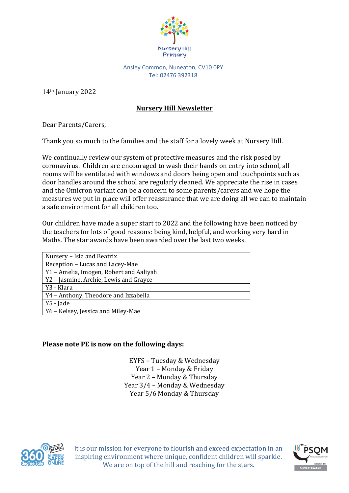

Ansley Common, Nuneaton, CV10 0PY Tel: 02476 392318

14th January 2022

### **Nursery Hill Newsletter**

Dear Parents/Carers,

Thank you so much to the families and the staff for a lovely week at Nursery Hill.

We continually review our system of protective measures and the risk posed by coronavirus. Children are encouraged to wash their hands on entry into school, all rooms will be ventilated with windows and doors being open and touchpoints such as door handles around the school are regularly cleaned. We appreciate the rise in cases and the Omicron variant can be a concern to some parents/carers and we hope the measures we put in place will offer reassurance that we are doing all we can to maintain a safe environment for all children too.

Our children have made a super start to 2022 and the following have been noticed by the teachers for lots of good reasons: being kind, helpful, and working very hard in Maths. The star awards have been awarded over the last two weeks.

| Nursery - Isla and Beatrix              |
|-----------------------------------------|
| Reception - Lucas and Lacey-Mae         |
| Y1 - Amelia, Imogen, Robert and Aaliyah |
| Y2 - Jasmine, Archie, Lewis and Grayce  |
| Y3 - Klara                              |
| Y4 - Anthony, Theodore and Izzabella    |
| Y5 - Jade                               |
| Y6 - Kelsey, Jessica and Miley-Mae      |

#### **Please note PE is now on the following days:**

EYFS – Tuesday & Wednesday Year 1 – Monday & Friday Year 2 – Monday & Thursday Year 3/4 – Monday & Wednesday Year 5/6 Monday & Thursday



It is our mission for everyone to flourish and exceed expectation in an inspiring environment where unique, confident children will sparkle. We are on top of the hill and reaching for the stars.